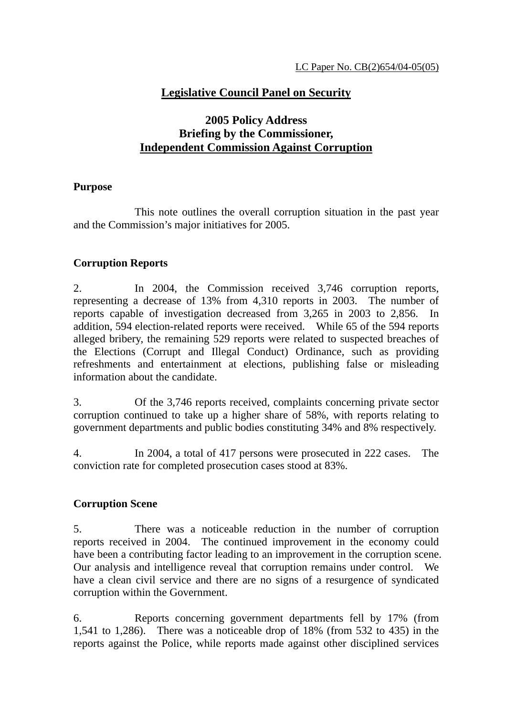# **Legislative Council Panel on Security**

# **2005 Policy Address Briefing by the Commissioner, Independent Commission Against Corruption**

### **Purpose**

 This note outlines the overall corruption situation in the past year and the Commission's major initiatives for 2005.

### **Corruption Reports**

2. In 2004, the Commission received 3,746 corruption reports, representing a decrease of 13% from 4,310 reports in 2003. The number of reports capable of investigation decreased from 3,265 in 2003 to 2,856. In addition, 594 election-related reports were received. While 65 of the 594 reports alleged bribery, the remaining 529 reports were related to suspected breaches of the Elections (Corrupt and Illegal Conduct) Ordinance, such as providing refreshments and entertainment at elections, publishing false or misleading information about the candidate.

3. Of the 3,746 reports received, complaints concerning private sector corruption continued to take up a higher share of 58%, with reports relating to government departments and public bodies constituting 34% and 8% respectively.

4. In 2004, a total of 417 persons were prosecuted in 222 cases. The conviction rate for completed prosecution cases stood at 83%.

### **Corruption Scene**

5. There was a noticeable reduction in the number of corruption reports received in 2004. The continued improvement in the economy could have been a contributing factor leading to an improvement in the corruption scene. Our analysis and intelligence reveal that corruption remains under control. We have a clean civil service and there are no signs of a resurgence of syndicated corruption within the Government.

6. Reports concerning government departments fell by 17% (from 1,541 to 1,286). There was a noticeable drop of 18% (from 532 to 435) in the reports against the Police, while reports made against other disciplined services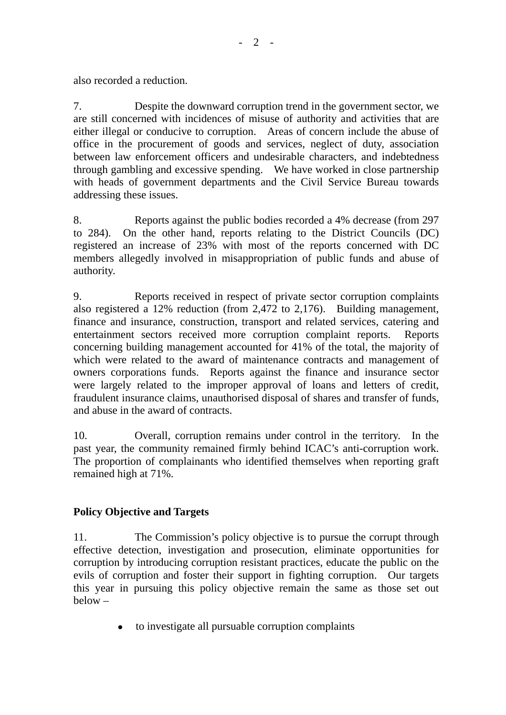also recorded a reduction.

7. Despite the downward corruption trend in the government sector, we are still concerned with incidences of misuse of authority and activities that are either illegal or conducive to corruption. Areas of concern include the abuse of office in the procurement of goods and services, neglect of duty, association between law enforcement officers and undesirable characters, and indebtedness through gambling and excessive spending. We have worked in close partnership with heads of government departments and the Civil Service Bureau towards addressing these issues.

8. Reports against the public bodies recorded a 4% decrease (from 297 to 284). On the other hand, reports relating to the District Councils (DC) registered an increase of 23% with most of the reports concerned with DC members allegedly involved in misappropriation of public funds and abuse of authority.

9. Reports received in respect of private sector corruption complaints also registered a 12% reduction (from 2,472 to 2,176). Building management, finance and insurance, construction, transport and related services, catering and entertainment sectors received more corruption complaint reports. Reports concerning building management accounted for 41% of the total, the majority of which were related to the award of maintenance contracts and management of owners corporations funds. Reports against the finance and insurance sector were largely related to the improper approval of loans and letters of credit, fraudulent insurance claims, unauthorised disposal of shares and transfer of funds, and abuse in the award of contracts.

10. Overall, corruption remains under control in the territory. In the past year, the community remained firmly behind ICAC's anti-corruption work. The proportion of complainants who identified themselves when reporting graft remained high at 71%.

## **Policy Objective and Targets**

11. The Commission's policy objective is to pursue the corrupt through effective detection, investigation and prosecution, eliminate opportunities for corruption by introducing corruption resistant practices, educate the public on the evils of corruption and foster their support in fighting corruption. Our targets this year in pursuing this policy objective remain the same as those set out below –

! to investigate all pursuable corruption complaints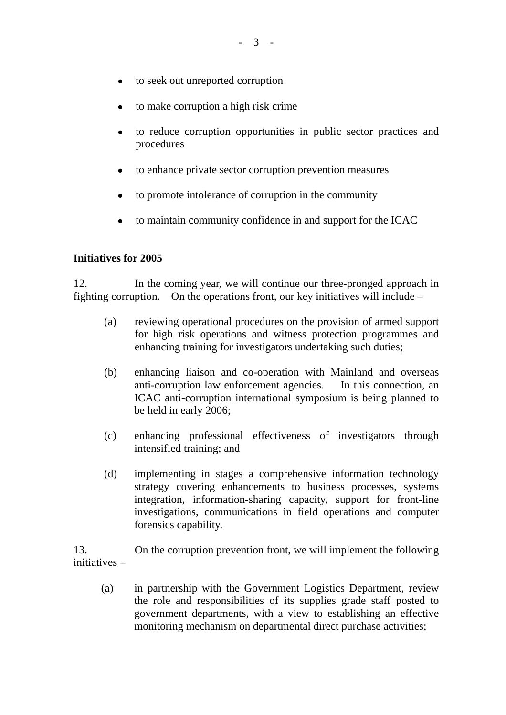- to seek out unreported corruption
- to make corruption a high risk crime
- ! to reduce corruption opportunities in public sector practices and procedures
- to enhance private sector corruption prevention measures
- to promote intolerance of corruption in the community
- to maintain community confidence in and support for the ICAC

#### **Initiatives for 2005**

12. In the coming year, we will continue our three-pronged approach in fighting corruption. On the operations front, our key initiatives will include –

- (a) reviewing operational procedures on the provision of armed support for high risk operations and witness protection programmes and enhancing training for investigators undertaking such duties;
- (b) enhancing liaison and co-operation with Mainland and overseas anti-corruption law enforcement agencies. In this connection, an ICAC anti-corruption international symposium is being planned to be held in early 2006;
- (c) enhancing professional effectiveness of investigators through intensified training; and
- (d) implementing in stages a comprehensive information technology strategy covering enhancements to business processes, systems integration, information-sharing capacity, support for front-line investigations, communications in field operations and computer forensics capability.

13. On the corruption prevention front, we will implement the following initiatives –

 (a) in partnership with the Government Logistics Department, review the role and responsibilities of its supplies grade staff posted to government departments, with a view to establishing an effective monitoring mechanism on departmental direct purchase activities;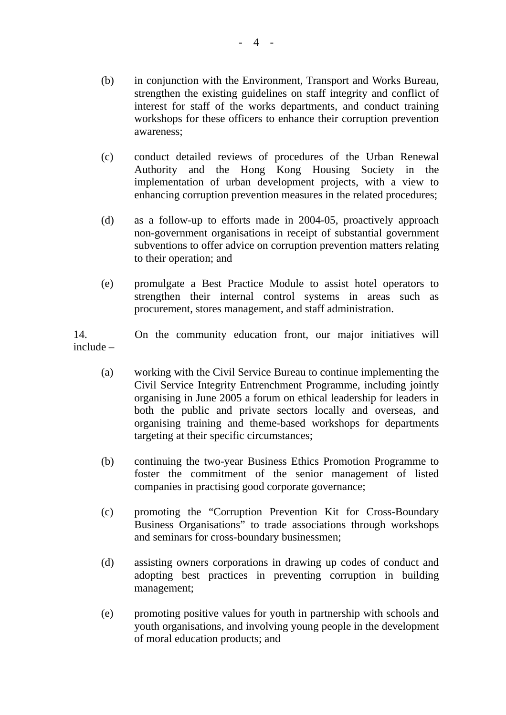- (b) in conjunction with the Environment, Transport and Works Bureau, strengthen the existing guidelines on staff integrity and conflict of interest for staff of the works departments, and conduct training workshops for these officers to enhance their corruption prevention awareness;
- (c) conduct detailed reviews of procedures of the Urban Renewal Authority and the Hong Kong Housing Society in the implementation of urban development projects, with a view to enhancing corruption prevention measures in the related procedures;
- (d) as a follow-up to efforts made in 2004-05, proactively approach non-government organisations in receipt of substantial government subventions to offer advice on corruption prevention matters relating to their operation; and
- (e) promulgate a Best Practice Module to assist hotel operators to strengthen their internal control systems in areas such as procurement, stores management, and staff administration.

14. On the community education front, our major initiatives will include –

- (a) working with the Civil Service Bureau to continue implementing the Civil Service Integrity Entrenchment Programme, including jointly organising in June 2005 a forum on ethical leadership for leaders in both the public and private sectors locally and overseas, and organising training and theme-based workshops for departments targeting at their specific circumstances;
- (b) continuing the two-year Business Ethics Promotion Programme to foster the commitment of the senior management of listed companies in practising good corporate governance;
- (c) promoting the "Corruption Prevention Kit for Cross-Boundary Business Organisations" to trade associations through workshops and seminars for cross-boundary businessmen;
- (d) assisting owners corporations in drawing up codes of conduct and adopting best practices in preventing corruption in building management;
- (e) promoting positive values for youth in partnership with schools and youth organisations, and involving young people in the development of moral education products; and